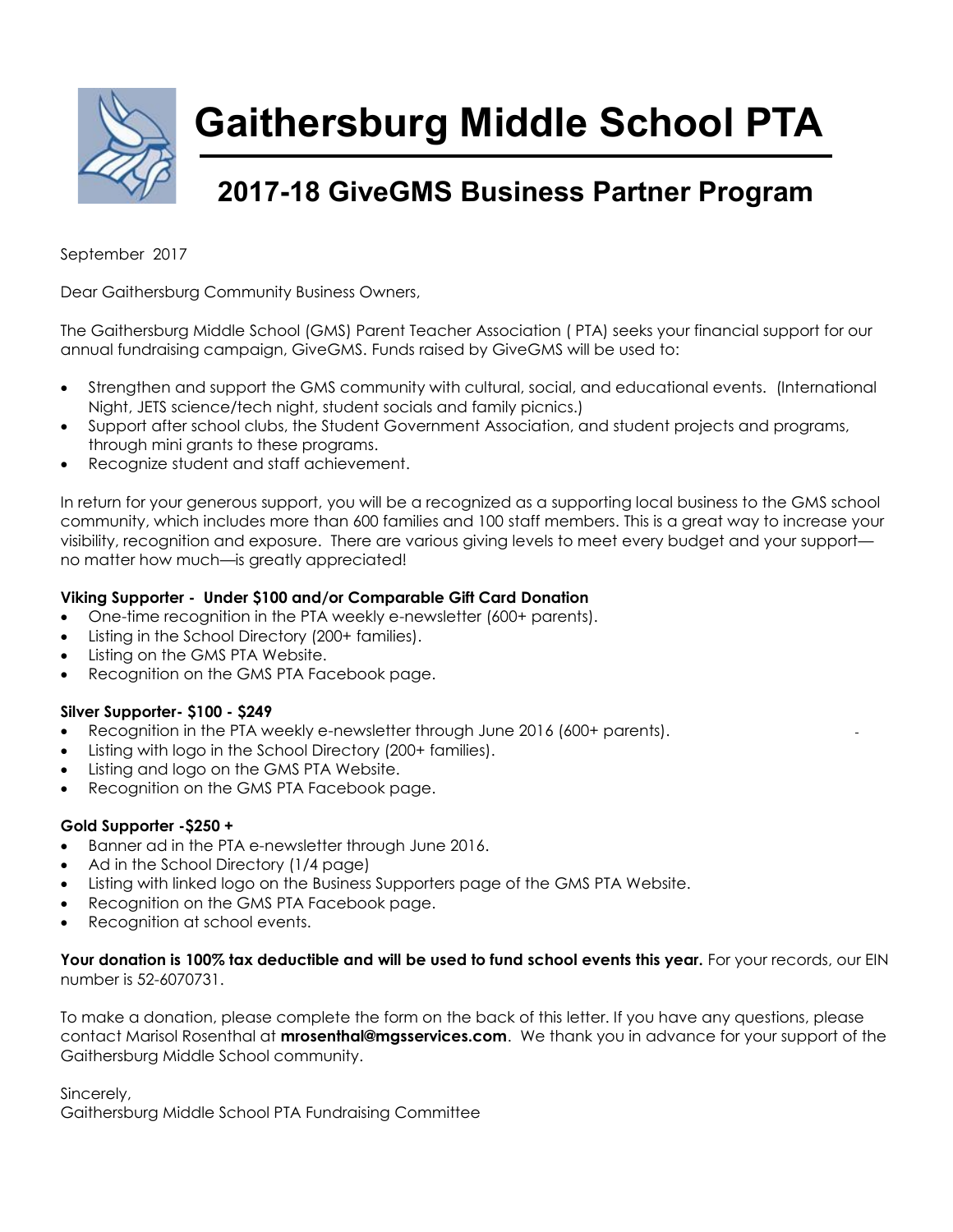

**Gaithersburg Middle School PTA**

### **2017-18 GiveGMS Business Partner Program**

September 2017

Dear Gaithersburg Community Business Owners,

The Gaithersburg Middle School (GMS) Parent Teacher Association ( PTA) seeks your financial support for our annual fundraising campaign, GiveGMS. Funds raised by GiveGMS will be used to:

- Strengthen and support the GMS community with cultural, social, and educational events. (International Night, JETS science/tech night, student socials and family picnics.)
- Support after school clubs, the Student Government Association, and student projects and programs, through mini grants to these programs.
- Recognize student and staff achievement.

In return for your generous support, you will be a recognized as a supporting local business to the GMS school community, which includes more than 600 families and 100 staff members. This is a great way to increase your visibility, recognition and exposure. There are various giving levels to meet every budget and your support no matter how much—is greatly appreciated!

#### **Viking Supporter - Under \$100 and/or Comparable Gift Card Donation**

- One-time recognition in the PTA weekly e-newsletter (600+ parents).
- Listing in the School Directory (200+ families).
- Listing on the GMS PTA Website.
- Recognition on the GMS PTA Facebook page.

#### **Silver Supporter- \$100 - \$249**

- Recognition in the PTA weekly e-newsletter through June 2016 (600+ parents).
- Listing with logo in the School Directory (200+ families).
- Listing and logo on the GMS PTA Website.
- Recognition on the GMS PTA Facebook page.

#### **Gold Supporter -\$250 +**

- Banner ad in the PTA e-newsletter through June 2016.
- Ad in the School Directory (1/4 page)
- Listing with linked logo on the Business Supporters page of the GMS PTA Website.
- Recognition on the GMS PTA Facebook page.
- Recognition at school events.

#### Your donation is 100% tax deductible and will be used to fund school events this year. For your records, our EIN number is 52-6070731.

To make a donation, please complete the form on the back of this letter. If you have any questions, please contact Marisol Rosenthal at **mrosenthal@mgsservices.com**. We thank you in advance for your support of the Gaithersburg Middle School community.

Sincerely,

Gaithersburg Middle School PTA Fundraising Committee